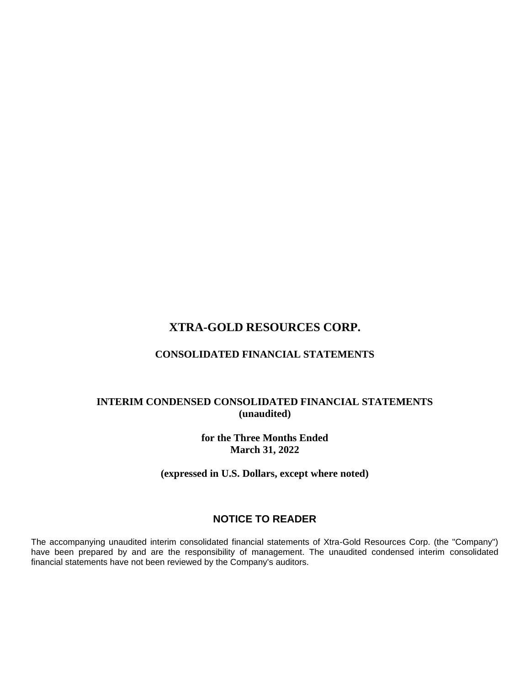# **CONSOLIDATED FINANCIAL STATEMENTS**

## **INTERIM CONDENSED CONSOLIDATED FINANCIAL STATEMENTS (unaudited)**

**for the Three Months Ended March 31, 2022**

**(expressed in U.S. Dollars, except where noted)**

# **NOTICE TO READER**

The accompanying unaudited interim consolidated financial statements of Xtra-Gold Resources Corp. (the "Company") have been prepared by and are the responsibility of management. The unaudited condensed interim consolidated financial statements have not been reviewed by the Company's auditors.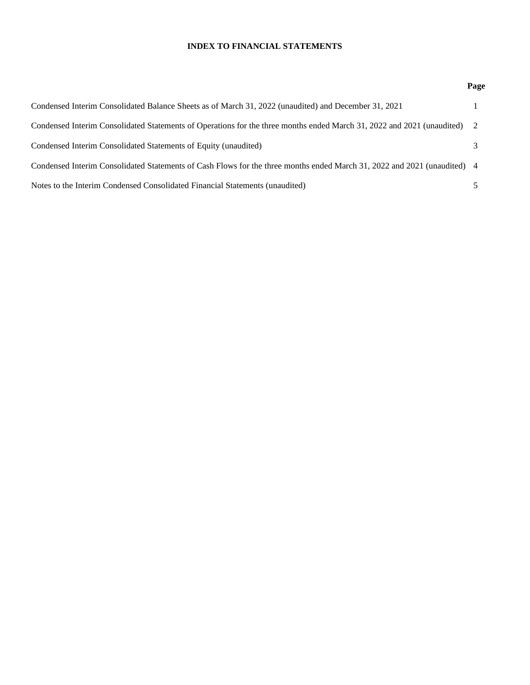## **INDEX TO FINANCIAL STATEMENTS**

## **Page**

| Condensed Interim Consolidated Balance Sheets as of March 31, 2022 (unaudited) and December 31, 2021                     |   |
|--------------------------------------------------------------------------------------------------------------------------|---|
| Condensed Interim Consolidated Statements of Operations for the three months ended March 31, 2022 and 2021 (unaudited) 2 |   |
| Condensed Interim Consolidated Statements of Equity (unaudited)                                                          | 3 |
| Condensed Interim Consolidated Statements of Cash Flows for the three months ended March 31, 2022 and 2021 (unaudited) 4 |   |
| Notes to the Interim Condensed Consolidated Financial Statements (unaudited)                                             |   |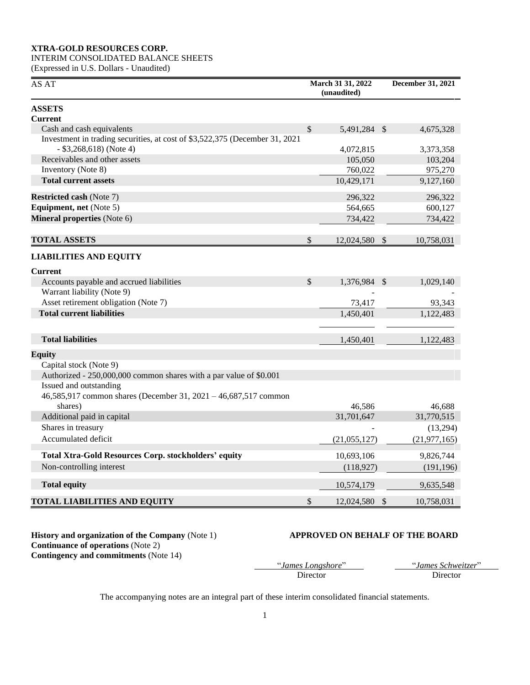## INTERIM CONSOLIDATED BALANCE SHEETS

(Expressed in U.S. Dollars - Unaudited)

| AS AT                                                                                                    | March 31 31, 2022<br>(unaudited) | <b>December 31, 2021</b> |                |  |
|----------------------------------------------------------------------------------------------------------|----------------------------------|--------------------------|----------------|--|
| <b>ASSETS</b>                                                                                            |                                  |                          |                |  |
| <b>Current</b>                                                                                           |                                  |                          |                |  |
| Cash and cash equivalents                                                                                | \$<br>5,491,284 \$               |                          | 4,675,328      |  |
| Investment in trading securities, at cost of \$3,522,375 (December 31, 2021<br>$-$ \$3,268,618) (Note 4) | 4,072,815                        |                          | 3,373,358      |  |
| Receivables and other assets                                                                             | 105,050                          |                          | 103,204        |  |
| Inventory (Note 8)                                                                                       | 760,022                          |                          | 975,270        |  |
| <b>Total current assets</b>                                                                              | 10,429,171                       |                          | 9,127,160      |  |
| <b>Restricted cash (Note 7)</b>                                                                          | 296,322                          |                          | 296,322        |  |
| Equipment, net (Note 5)                                                                                  | 564,665                          |                          | 600,127        |  |
| Mineral properties (Note 6)                                                                              | 734,422                          |                          | 734,422        |  |
| <b>TOTAL ASSETS</b>                                                                                      | \$<br>12,024,580                 | $\mathcal{S}$            | 10,758,031     |  |
| <b>LIABILITIES AND EQUITY</b>                                                                            |                                  |                          |                |  |
| <b>Current</b>                                                                                           |                                  |                          |                |  |
| Accounts payable and accrued liabilities                                                                 | \$<br>1,376,984 \$               |                          | 1,029,140      |  |
| Warrant liability (Note 9)                                                                               |                                  |                          |                |  |
| Asset retirement obligation (Note 7)                                                                     | 73,417                           |                          | 93,343         |  |
| <b>Total current liabilities</b>                                                                         | 1,450,401                        |                          | 1,122,483      |  |
|                                                                                                          |                                  |                          |                |  |
| <b>Total liabilities</b>                                                                                 | 1,450,401                        |                          | 1,122,483      |  |
| <b>Equity</b>                                                                                            |                                  |                          |                |  |
| Capital stock (Note 9)                                                                                   |                                  |                          |                |  |
| Authorized - 250,000,000 common shares with a par value of \$0.001                                       |                                  |                          |                |  |
| Issued and outstanding                                                                                   |                                  |                          |                |  |
| 46,585,917 common shares (December 31, $2021 - 46,687,517$ common                                        |                                  |                          |                |  |
| shares)                                                                                                  | 46,586                           |                          | 46,688         |  |
| Additional paid in capital                                                                               | 31,701,647                       |                          | 31,770,515     |  |
| Shares in treasury                                                                                       |                                  |                          | (13,294)       |  |
| Accumulated deficit                                                                                      | (21,055,127)                     |                          | (21, 977, 165) |  |
| <b>Total Xtra-Gold Resources Corp. stockholders' equity</b>                                              | 10,693,106                       |                          | 9,826,744      |  |
| Non-controlling interest                                                                                 | (118, 927)                       |                          | (191, 196)     |  |
| <b>Total equity</b>                                                                                      | 10,574,179                       |                          | 9,635,548      |  |
| <b>TOTAL LIABILITIES AND EQUITY</b>                                                                      | \$<br>12,024,580                 | $\mathcal{S}$            | 10,758,031     |  |

**History and organization of the Company** (Note 1) **APPROVED ON BEHALF OF THE BOARD Continuance of operations (Note 2) Contingency and commitments** (Note 14)

"*James Longshore*" "*James Schweitzer*"

Director Director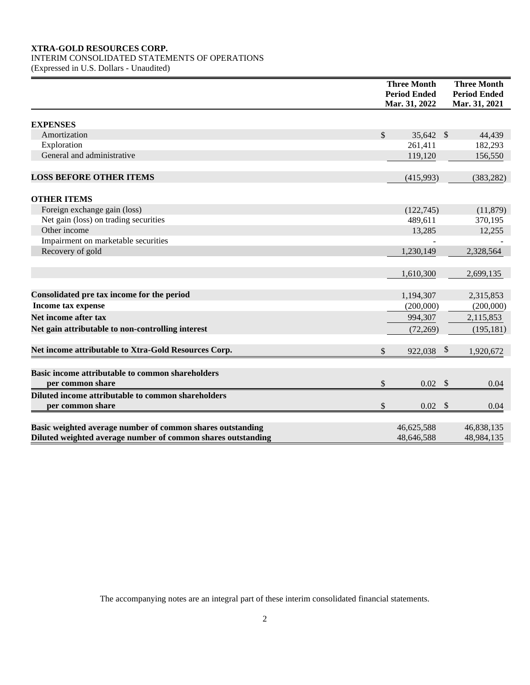## INTERIM CONSOLIDATED STATEMENTS OF OPERATIONS

(Expressed in U.S. Dollars - Unaudited)

|                                                              | <b>Three Month</b><br><b>Period Ended</b><br>Mar. 31, 2022 |            | <b>Three Month</b><br><b>Period Ended</b><br>Mar. 31, 2021 |
|--------------------------------------------------------------|------------------------------------------------------------|------------|------------------------------------------------------------|
| <b>EXPENSES</b>                                              |                                                            |            |                                                            |
| Amortization                                                 | \$<br>35,642 \$                                            |            | 44,439                                                     |
| Exploration                                                  | 261,411                                                    |            | 182,293                                                    |
| General and administrative                                   | 119,120                                                    |            | 156,550                                                    |
| <b>LOSS BEFORE OTHER ITEMS</b>                               | (415,993)                                                  |            | (383, 282)                                                 |
| <b>OTHER ITEMS</b>                                           |                                                            |            |                                                            |
| Foreign exchange gain (loss)                                 | (122,745)                                                  |            | (11, 879)                                                  |
| Net gain (loss) on trading securities                        | 489,611                                                    |            | 370,195                                                    |
| Other income                                                 | 13,285                                                     |            | 12,255                                                     |
| Impairment on marketable securities                          |                                                            |            |                                                            |
| Recovery of gold                                             | 1,230,149                                                  |            | 2,328,564                                                  |
|                                                              | 1,610,300                                                  |            | 2,699,135                                                  |
| Consolidated pre tax income for the period                   | 1,194,307                                                  |            | 2,315,853                                                  |
| <b>Income tax expense</b>                                    | (200,000)                                                  |            | (200,000)                                                  |
| Net income after tax                                         | 994,307                                                    |            | 2,115,853                                                  |
| Net gain attributable to non-controlling interest            | (72, 269)                                                  |            | (195, 181)                                                 |
| Net income attributable to Xtra-Gold Resources Corp.         | \$<br>922,038                                              | $\sqrt{3}$ | 1,920,672                                                  |
| Basic income attributable to common shareholders             |                                                            |            |                                                            |
| per common share                                             | \$<br>$0.02$ \$                                            |            | 0.04                                                       |
| Diluted income attributable to common shareholders           |                                                            |            |                                                            |
| per common share                                             | \$<br>$0.02 \quad$                                         |            | 0.04                                                       |
| Basic weighted average number of common shares outstanding   | 46,625,588                                                 |            | 46,838,135                                                 |
| Diluted weighted average number of common shares outstanding | 48,646,588                                                 |            | 48,984,135                                                 |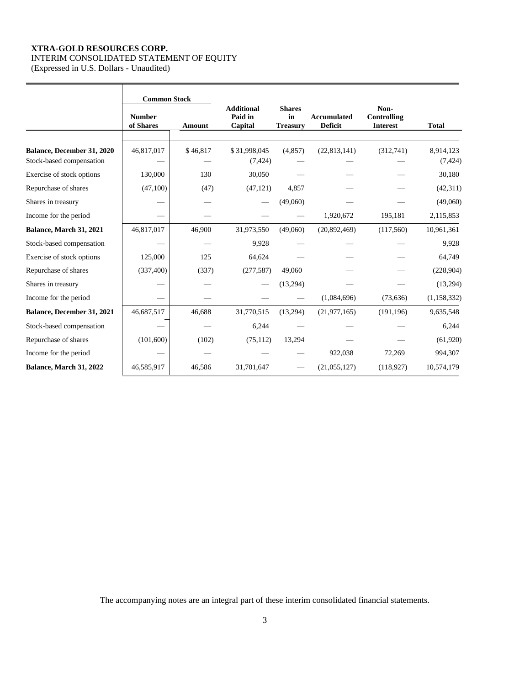## **XTRA-GOLD RESOURCES CORP.** INTERIM CONSOLIDATED STATEMENT OF EQUITY

(Expressed in U.S. Dollars - Unaudited)

|                                                        | <b>Common Stock</b>        |          |                                         |                                        |                                      |                                        |                       |
|--------------------------------------------------------|----------------------------|----------|-----------------------------------------|----------------------------------------|--------------------------------------|----------------------------------------|-----------------------|
|                                                        | <b>Number</b><br>of Shares | Amount   | <b>Additional</b><br>Paid in<br>Capital | <b>Shares</b><br>in<br><b>Treasury</b> | <b>Accumulated</b><br><b>Deficit</b> | Non-<br>Controlling<br><b>Interest</b> | <b>Total</b>          |
| Balance, December 31, 2020<br>Stock-based compensation | 46,817,017                 | \$46,817 | \$31,998,045<br>(7, 424)                | (4,857)                                | (22, 813, 141)                       | (312,741)                              | 8,914,123<br>(7, 424) |
| Exercise of stock options                              | 130,000                    | 130      | 30,050                                  |                                        |                                      |                                        | 30,180                |
| Repurchase of shares                                   | (47,100)                   | (47)     | (47, 121)                               | 4,857                                  |                                      |                                        | (42, 311)             |
| Shares in treasury                                     |                            |          |                                         | (49,060)                               |                                      |                                        | (49,060)              |
| Income for the period                                  |                            |          |                                         |                                        | 1,920,672                            | 195,181                                | 2,115,853             |
| Balance, March 31, 2021                                | 46,817,017                 | 46,900   | 31,973,550                              | (49,060)                               | (20, 892, 469)                       | (117,560)                              | 10,961,361            |
| Stock-based compensation                               |                            |          | 9,928                                   |                                        |                                      |                                        | 9,928                 |
| Exercise of stock options                              | 125,000                    | 125      | 64,624                                  |                                        |                                      |                                        | 64,749                |
| Repurchase of shares                                   | (337,400)                  | (337)    | (277, 587)                              | 49,060                                 |                                      |                                        | (228,904)             |
| Shares in treasury                                     |                            |          |                                         | (13,294)                               |                                      |                                        | (13, 294)             |
| Income for the period                                  |                            |          |                                         |                                        | (1,084,696)                          | (73, 636)                              | (1, 158, 332)         |
| Balance, December 31, 2021                             | 46,687,517                 | 46,688   | 31,770,515                              | (13,294)                               | (21, 977, 165)                       | (191, 196)                             | 9,635,548             |
| Stock-based compensation                               |                            |          | 6,244                                   |                                        |                                      |                                        | 6,244                 |
| Repurchase of shares                                   | (101, 600)                 | (102)    | (75, 112)                               | 13,294                                 |                                      |                                        | (61,920)              |
| Income for the period                                  |                            |          |                                         |                                        | 922,038                              | 72,269                                 | 994,307               |
| Balance, March 31, 2022                                | 46,585,917                 | 46,586   | 31,701,647                              |                                        | (21,055,127)                         | (118, 927)                             | 10,574,179            |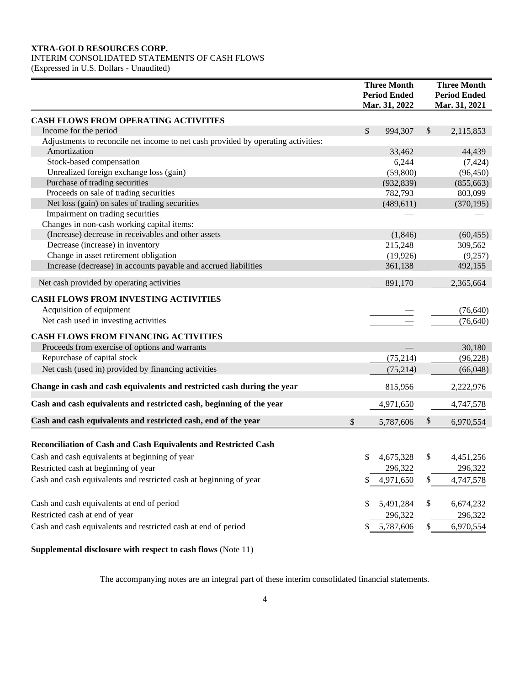## INTERIM CONSOLIDATED STATEMENTS OF CASH FLOWS

(Expressed in U.S. Dollars - Unaudited)

|                                                                                   | <b>Three Month</b>  |    | <b>Three Month</b> |    |                     |
|-----------------------------------------------------------------------------------|---------------------|----|--------------------|----|---------------------|
|                                                                                   | <b>Period Ended</b> |    |                    |    | <b>Period Ended</b> |
|                                                                                   |                     |    | Mar. 31, 2022      |    | Mar. 31, 2021       |
| <b>CASH FLOWS FROM OPERATING ACTIVITIES</b>                                       |                     |    |                    |    |                     |
| Income for the period                                                             |                     | \$ | 994,307            | \$ | 2,115,853           |
| Adjustments to reconcile net income to net cash provided by operating activities: |                     |    |                    |    |                     |
| Amortization                                                                      |                     |    | 33,462             |    | 44,439              |
| Stock-based compensation                                                          |                     |    | 6,244              |    | (7, 424)            |
| Unrealized foreign exchange loss (gain)                                           |                     |    | (59,800)           |    | (96, 450)           |
| Purchase of trading securities                                                    |                     |    | (932, 839)         |    | (855, 663)          |
| Proceeds on sale of trading securities                                            |                     |    | 782,793            |    | 803,099             |
| Net loss (gain) on sales of trading securities                                    |                     |    | (489, 611)         |    | (370, 195)          |
| Impairment on trading securities                                                  |                     |    |                    |    |                     |
| Changes in non-cash working capital items:                                        |                     |    |                    |    |                     |
| (Increase) decrease in receivables and other assets                               |                     |    | (1,846)            |    | (60, 455)           |
| Decrease (increase) in inventory                                                  |                     |    | 215,248            |    | 309,562             |
| Change in asset retirement obligation                                             |                     |    | (19, 926)          |    | (9,257)             |
| Increase (decrease) in accounts payable and accrued liabilities                   |                     |    | 361,138            |    | 492,155             |
| Net cash provided by operating activities                                         |                     |    | 891,170            |    | 2,365,664           |
| <b>CASH FLOWS FROM INVESTING ACTIVITIES</b>                                       |                     |    |                    |    |                     |
| Acquisition of equipment                                                          |                     |    |                    |    | (76, 640)           |
| Net cash used in investing activities                                             |                     |    |                    |    | (76, 640)           |
| <b>CASH FLOWS FROM FINANCING ACTIVITIES</b>                                       |                     |    |                    |    |                     |
| Proceeds from exercise of options and warrants                                    |                     |    |                    |    | 30,180              |
| Repurchase of capital stock                                                       |                     |    | (75, 214)          |    | (96, 228)           |
| Net cash (used in) provided by financing activities                               |                     |    |                    |    |                     |
|                                                                                   |                     |    | (75, 214)          |    | (66,048)            |
| Change in cash and cash equivalents and restricted cash during the year           |                     |    | 815,956            |    | 2,222,976           |
| Cash and cash equivalents and restricted cash, beginning of the year              |                     |    | 4,971,650          |    | 4,747,578           |
| Cash and cash equivalents and restricted cash, end of the year                    | \$                  |    | 5,787,606          | \$ | 6,970,554           |
|                                                                                   |                     |    |                    |    |                     |
| Reconciliation of Cash and Cash Equivalents and Restricted Cash                   |                     |    |                    |    |                     |
| Cash and cash equivalents at beginning of year                                    |                     | \$ | 4,675,328          | \$ | 4,451,256           |
| Restricted cash at beginning of year                                              |                     |    | 296,322            |    | 296,322             |
| Cash and cash equivalents and restricted cash at beginning of year                |                     | \$ | 4,971,650          | \$ | 4,747,578           |
| Cash and cash equivalents at end of period                                        |                     | \$ | 5,491,284          | \$ | 6,674,232           |
| Restricted cash at end of year                                                    |                     |    |                    |    |                     |
|                                                                                   |                     |    | 296,322            |    | 296,322             |
| Cash and cash equivalents and restricted cash at end of period                    |                     | \$ | 5,787,606          | \$ | 6,970,554           |

**Supplemental disclosure with respect to cash flows** (Note 11)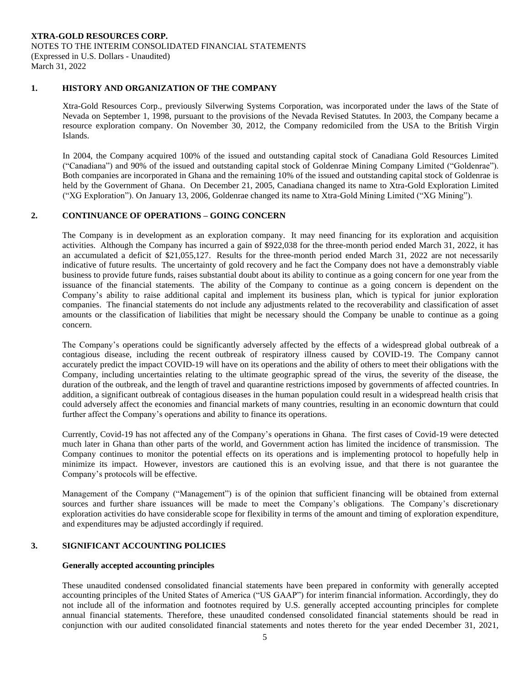### **1. HISTORY AND ORGANIZATION OF THE COMPANY**

Xtra-Gold Resources Corp., previously Silverwing Systems Corporation, was incorporated under the laws of the State of Nevada on September 1, 1998, pursuant to the provisions of the Nevada Revised Statutes. In 2003, the Company became a resource exploration company. On November 30, 2012, the Company redomiciled from the USA to the British Virgin Islands.

In 2004, the Company acquired 100% of the issued and outstanding capital stock of Canadiana Gold Resources Limited ("Canadiana") and 90% of the issued and outstanding capital stock of Goldenrae Mining Company Limited ("Goldenrae"). Both companies are incorporated in Ghana and the remaining 10% of the issued and outstanding capital stock of Goldenrae is held by the Government of Ghana. On December 21, 2005, Canadiana changed its name to Xtra-Gold Exploration Limited ("XG Exploration"). On January 13, 2006, Goldenrae changed its name to Xtra-Gold Mining Limited ("XG Mining").

## **2. CONTINUANCE OF OPERATIONS – GOING CONCERN**

The Company is in development as an exploration company. It may need financing for its exploration and acquisition activities. Although the Company has incurred a gain of \$922,038 for the three-month period ended March 31, 2022, it has an accumulated a deficit of \$21,055,127. Results for the three-month period ended March 31, 2022 are not necessarily indicative of future results. The uncertainty of gold recovery and he fact the Company does not have a demonstrably viable business to provide future funds, raises substantial doubt about its ability to continue as a going concern for one year from the issuance of the financial statements. The ability of the Company to continue as a going concern is dependent on the Company's ability to raise additional capital and implement its business plan, which is typical for junior exploration companies. The financial statements do not include any adjustments related to the recoverability and classification of asset amounts or the classification of liabilities that might be necessary should the Company be unable to continue as a going concern.

The Company's operations could be significantly adversely affected by the effects of a widespread global outbreak of a contagious disease, including the recent outbreak of respiratory illness caused by COVID-19. The Company cannot accurately predict the impact COVID-19 will have on its operations and the ability of others to meet their obligations with the Company, including uncertainties relating to the ultimate geographic spread of the virus, the severity of the disease, the duration of the outbreak, and the length of travel and quarantine restrictions imposed by governments of affected countries. In addition, a significant outbreak of contagious diseases in the human population could result in a widespread health crisis that could adversely affect the economies and financial markets of many countries, resulting in an economic downturn that could further affect the Company's operations and ability to finance its operations.

Currently, Covid-19 has not affected any of the Company's operations in Ghana. The first cases of Covid-19 were detected much later in Ghana than other parts of the world, and Government action has limited the incidence of transmission. The Company continues to monitor the potential effects on its operations and is implementing protocol to hopefully help in minimize its impact. However, investors are cautioned this is an evolving issue, and that there is not guarantee the Company's protocols will be effective.

Management of the Company ("Management") is of the opinion that sufficient financing will be obtained from external sources and further share issuances will be made to meet the Company's obligations. The Company's discretionary exploration activities do have considerable scope for flexibility in terms of the amount and timing of exploration expenditure, and expenditures may be adjusted accordingly if required.

#### **3. SIGNIFICANT ACCOUNTING POLICIES**

#### **Generally accepted accounting principles**

These unaudited condensed consolidated financial statements have been prepared in conformity with generally accepted accounting principles of the United States of America ("US GAAP") for interim financial information. Accordingly, they do not include all of the information and footnotes required by U.S. generally accepted accounting principles for complete annual financial statements. Therefore, these unaudited condensed consolidated financial statements should be read in conjunction with our audited consolidated financial statements and notes thereto for the year ended December 31, 2021,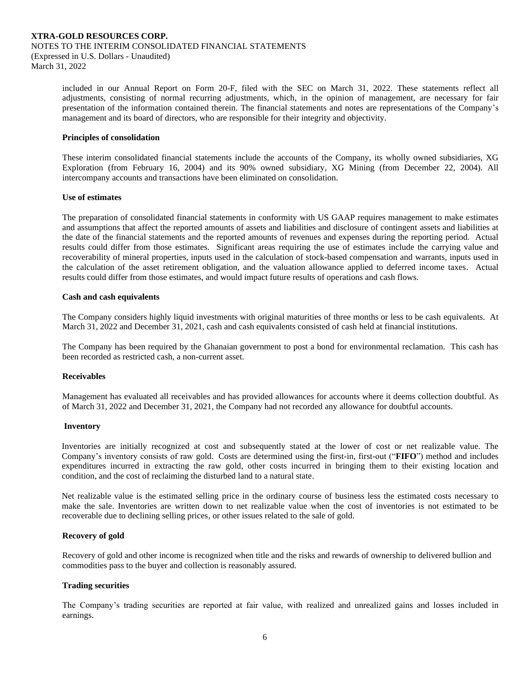included in our Annual Report on Form 20-F, filed with the SEC on March 31, 2022. These statements reflect all adjustments, consisting of normal recurring adjustments, which, in the opinion of management, are necessary for fair presentation of the information contained therein. The financial statements and notes are representations of the Company's management and its board of directors, who are responsible for their integrity and objectivity.

#### **Principles of consolidation**

These interim consolidated financial statements include the accounts of the Company, its wholly owned subsidiaries, XG Exploration (from February 16, 2004) and its 90% owned subsidiary, XG Mining (from December 22, 2004). All intercompany accounts and transactions have been eliminated on consolidation.

#### **Use of estimates**

The preparation of consolidated financial statements in conformity with US GAAP requires management to make estimates and assumptions that affect the reported amounts of assets and liabilities and disclosure of contingent assets and liabilities at the date of the financial statements and the reported amounts of revenues and expenses during the reporting period. Actual results could differ from those estimates. Significant areas requiring the use of estimates include the carrying value and recoverability of mineral properties, inputs used in the calculation of stock-based compensation and warrants, inputs used in the calculation of the asset retirement obligation, and the valuation allowance applied to deferred income taxes. Actual results could differ from those estimates, and would impact future results of operations and cash flows.

#### **Cash and cash equivalents**

The Company considers highly liquid investments with original maturities of three months or less to be cash equivalents. At March 31, 2022 and December 31, 2021, cash and cash equivalents consisted of cash held at financial institutions.

The Company has been required by the Ghanaian government to post a bond for environmental reclamation. This cash has been recorded as restricted cash, a non-current asset.

#### **Receivables**

Management has evaluated all receivables and has provided allowances for accounts where it deems collection doubtful. As of March 31, 2022 and December 31, 2021, the Company had not recorded any allowance for doubtful accounts.

#### **Inventory**

Inventories are initially recognized at cost and subsequently stated at the lower of cost or net realizable value. The Company's inventory consists of raw gold. Costs are determined using the first-in, first-out ("**FIFO**") method and includes expenditures incurred in extracting the raw gold, other costs incurred in bringing them to their existing location and condition, and the cost of reclaiming the disturbed land to a natural state.

Net realizable value is the estimated selling price in the ordinary course of business less the estimated costs necessary to make the sale. Inventories are written down to net realizable value when the cost of inventories is not estimated to be recoverable due to declining selling prices, or other issues related to the sale of gold.

#### **Recovery of gold**

Recovery of gold and other income is recognized when title and the risks and rewards of ownership to delivered bullion and commodities pass to the buyer and collection is reasonably assured.

#### **Trading securities**

The Company's trading securities are reported at fair value, with realized and unrealized gains and losses included in earnings.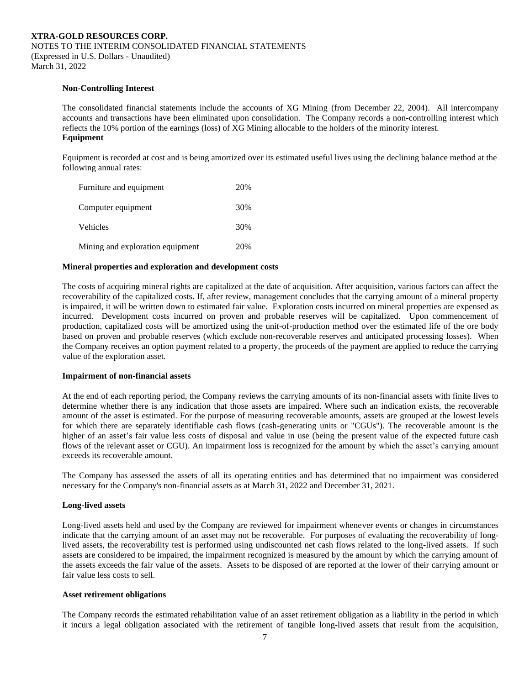#### **Non-Controlling Interest**

The consolidated financial statements include the accounts of XG Mining (from December 22, 2004). All intercompany accounts and transactions have been eliminated upon consolidation. The Company records a non-controlling interest which reflects the 10% portion of the earnings (loss) of XG Mining allocable to the holders of the minority interest. **Equipment**

Equipment is recorded at cost and is being amortized over its estimated useful lives using the declining balance method at the following annual rates:

| Furniture and equipment          | 20% |
|----------------------------------|-----|
| Computer equipment               | 30% |
| Vehicles                         | 30% |
| Mining and exploration equipment | 20% |

### **Mineral properties and exploration and development costs**

The costs of acquiring mineral rights are capitalized at the date of acquisition. After acquisition, various factors can affect the recoverability of the capitalized costs. If, after review, management concludes that the carrying amount of a mineral property is impaired, it will be written down to estimated fair value. Exploration costs incurred on mineral properties are expensed as incurred. Development costs incurred on proven and probable reserves will be capitalized. Upon commencement of production, capitalized costs will be amortized using the unit-of-production method over the estimated life of the ore body based on proven and probable reserves (which exclude non-recoverable reserves and anticipated processing losses). When the Company receives an option payment related to a property, the proceeds of the payment are applied to reduce the carrying value of the exploration asset.

#### **Impairment of non-financial assets**

At the end of each reporting period, the Company reviews the carrying amounts of its non-financial assets with finite lives to determine whether there is any indication that those assets are impaired. Where such an indication exists, the recoverable amount of the asset is estimated. For the purpose of measuring recoverable amounts, assets are grouped at the lowest levels for which there are separately identifiable cash flows (cash-generating units or "CGUs"). The recoverable amount is the higher of an asset's fair value less costs of disposal and value in use (being the present value of the expected future cash flows of the relevant asset or CGU). An impairment loss is recognized for the amount by which the asset's carrying amount exceeds its recoverable amount.

The Company has assessed the assets of all its operating entities and has determined that no impairment was considered necessary for the Company's non-financial assets as at March 31, 2022 and December 31, 2021.

#### **Long-lived assets**

Long-lived assets held and used by the Company are reviewed for impairment whenever events or changes in circumstances indicate that the carrying amount of an asset may not be recoverable. For purposes of evaluating the recoverability of longlived assets, the recoverability test is performed using undiscounted net cash flows related to the long-lived assets. If such assets are considered to be impaired, the impairment recognized is measured by the amount by which the carrying amount of the assets exceeds the fair value of the assets. Assets to be disposed of are reported at the lower of their carrying amount or fair value less costs to sell.

#### **Asset retirement obligations**

The Company records the estimated rehabilitation value of an asset retirement obligation as a liability in the period in which it incurs a legal obligation associated with the retirement of tangible long-lived assets that result from the acquisition,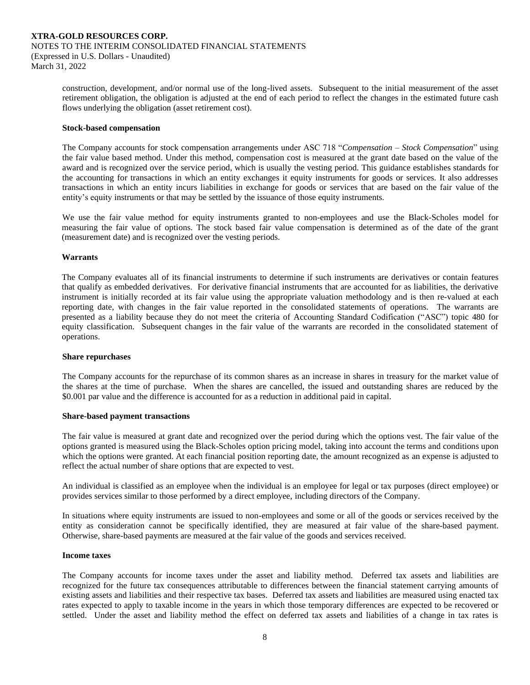construction, development, and/or normal use of the long-lived assets. Subsequent to the initial measurement of the asset retirement obligation, the obligation is adjusted at the end of each period to reflect the changes in the estimated future cash flows underlying the obligation (asset retirement cost).

#### **Stock-based compensation**

The Company accounts for stock compensation arrangements under ASC 718 "*Compensation – Stock Compensation*" using the fair value based method. Under this method, compensation cost is measured at the grant date based on the value of the award and is recognized over the service period, which is usually the vesting period. This guidance establishes standards for the accounting for transactions in which an entity exchanges it equity instruments for goods or services. It also addresses transactions in which an entity incurs liabilities in exchange for goods or services that are based on the fair value of the entity's equity instruments or that may be settled by the issuance of those equity instruments.

We use the fair value method for equity instruments granted to non-employees and use the Black-Scholes model for measuring the fair value of options. The stock based fair value compensation is determined as of the date of the grant (measurement date) and is recognized over the vesting periods.

#### **Warrants**

The Company evaluates all of its financial instruments to determine if such instruments are derivatives or contain features that qualify as embedded derivatives. For derivative financial instruments that are accounted for as liabilities, the derivative instrument is initially recorded at its fair value using the appropriate valuation methodology and is then re-valued at each reporting date, with changes in the fair value reported in the consolidated statements of operations. The warrants are presented as a liability because they do not meet the criteria of Accounting Standard Codification ("ASC") topic 480 for equity classification. Subsequent changes in the fair value of the warrants are recorded in the consolidated statement of operations.

#### **Share repurchases**

The Company accounts for the repurchase of its common shares as an increase in shares in treasury for the market value of the shares at the time of purchase. When the shares are cancelled, the issued and outstanding shares are reduced by the \$0.001 par value and the difference is accounted for as a reduction in additional paid in capital.

#### **Share-based payment transactions**

The fair value is measured at grant date and recognized over the period during which the options vest. The fair value of the options granted is measured using the Black-Scholes option pricing model, taking into account the terms and conditions upon which the options were granted. At each financial position reporting date, the amount recognized as an expense is adjusted to reflect the actual number of share options that are expected to vest.

An individual is classified as an employee when the individual is an employee for legal or tax purposes (direct employee) or provides services similar to those performed by a direct employee, including directors of the Company.

In situations where equity instruments are issued to non-employees and some or all of the goods or services received by the entity as consideration cannot be specifically identified, they are measured at fair value of the share-based payment. Otherwise, share-based payments are measured at the fair value of the goods and services received.

#### **Income taxes**

The Company accounts for income taxes under the asset and liability method. Deferred tax assets and liabilities are recognized for the future tax consequences attributable to differences between the financial statement carrying amounts of existing assets and liabilities and their respective tax bases. Deferred tax assets and liabilities are measured using enacted tax rates expected to apply to taxable income in the years in which those temporary differences are expected to be recovered or settled. Under the asset and liability method the effect on deferred tax assets and liabilities of a change in tax rates is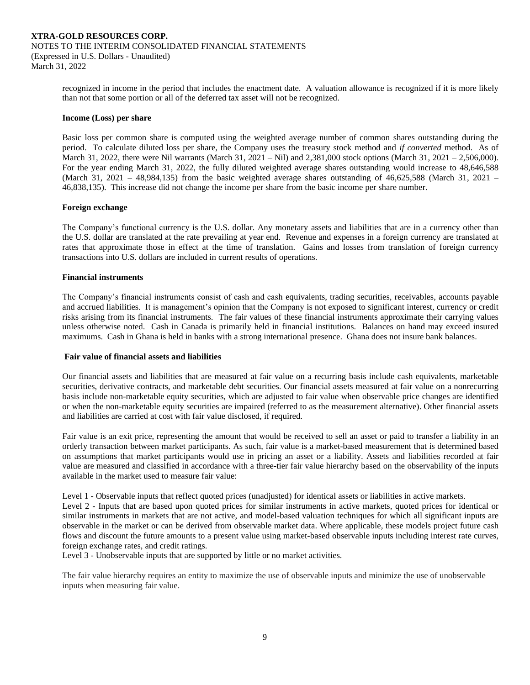recognized in income in the period that includes the enactment date. A valuation allowance is recognized if it is more likely than not that some portion or all of the deferred tax asset will not be recognized.

#### **Income (Loss) per share**

Basic loss per common share is computed using the weighted average number of common shares outstanding during the period. To calculate diluted loss per share, the Company uses the treasury stock method and *if converted* method. As of March 31, 2022, there were Nil warrants (March 31, 2021 – Nil) and 2,381,000 stock options (March 31, 2021 – 2,506,000). For the year ending March 31, 2022, the fully diluted weighted average shares outstanding would increase to 48,646,588 (March 31, 2021 – 48,984,135) from the basic weighted average shares outstanding of  $46,625,588$  (March 31, 2021 – 46,838,135). This increase did not change the income per share from the basic income per share number.

#### **Foreign exchange**

The Company's functional currency is the U.S. dollar. Any monetary assets and liabilities that are in a currency other than the U.S. dollar are translated at the rate prevailing at year end. Revenue and expenses in a foreign currency are translated at rates that approximate those in effect at the time of translation. Gains and losses from translation of foreign currency transactions into U.S. dollars are included in current results of operations.

#### **Financial instruments**

The Company's financial instruments consist of cash and cash equivalents, trading securities, receivables, accounts payable and accrued liabilities. It is management's opinion that the Company is not exposed to significant interest, currency or credit risks arising from its financial instruments. The fair values of these financial instruments approximate their carrying values unless otherwise noted. Cash in Canada is primarily held in financial institutions. Balances on hand may exceed insured maximums. Cash in Ghana is held in banks with a strong international presence. Ghana does not insure bank balances.

#### **Fair value of financial assets and liabilities**

Our financial assets and liabilities that are measured at fair value on a recurring basis include cash equivalents, marketable securities, derivative contracts, and marketable debt securities. Our financial assets measured at fair value on a nonrecurring basis include non-marketable equity securities, which are adjusted to fair value when observable price changes are identified or when the non-marketable equity securities are impaired (referred to as the measurement alternative). Other financial assets and liabilities are carried at cost with fair value disclosed, if required.

Fair value is an exit price, representing the amount that would be received to sell an asset or paid to transfer a liability in an orderly transaction between market participants. As such, fair value is a market-based measurement that is determined based on assumptions that market participants would use in pricing an asset or a liability. Assets and liabilities recorded at fair value are measured and classified in accordance with a three-tier fair value hierarchy based on the observability of the inputs available in the market used to measure fair value:

Level 1 - Observable inputs that reflect quoted prices (unadjusted) for identical assets or liabilities in active markets.

Level 2 - Inputs that are based upon quoted prices for similar instruments in active markets, quoted prices for identical or similar instruments in markets that are not active, and model-based valuation techniques for which all significant inputs are observable in the market or can be derived from observable market data. Where applicable, these models project future cash flows and discount the future amounts to a present value using market-based observable inputs including interest rate curves, foreign exchange rates, and credit ratings.

Level 3 - Unobservable inputs that are supported by little or no market activities.

The fair value hierarchy requires an entity to maximize the use of observable inputs and minimize the use of unobservable inputs when measuring fair value.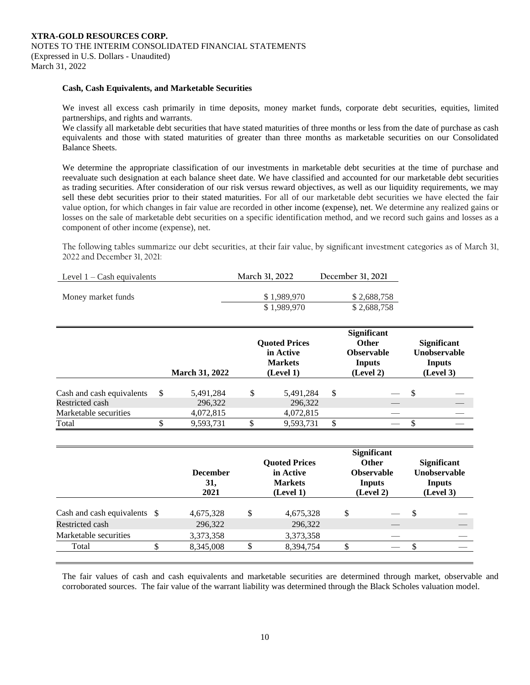#### **Cash, Cash Equivalents, and Marketable Securities**

We invest all excess cash primarily in time deposits, money market funds, corporate debt securities, equities, limited partnerships, and rights and warrants.

We classify all marketable debt securities that have stated maturities of three months or less from the date of purchase as cash equivalents and those with stated maturities of greater than three months as marketable securities on our Consolidated Balance Sheets.

We determine the appropriate classification of our investments in marketable debt securities at the time of purchase and reevaluate such designation at each balance sheet date. We have classified and accounted for our marketable debt securities as trading securities. After consideration of our risk versus reward objectives, as well as our liquidity requirements, we may sell these debt securities prior to their stated maturities. For all of our marketable debt securities we have elected the fair value option, for which changes in fair value are recorded in other income (expense), net. We determine any realized gains or losses on the sale of marketable debt securities on a specific identification method, and we record such gains and losses as a component of other income (expense), net.

The following tables summarize our debt securities, at their fair value, by significant investment categories as of March 31, 2022 and December 31, 2021:

| March 31, 2022 | December 31, 2021 |
|----------------|-------------------|
|                | \$2,688,758       |
| \$1,989,970    | \$2,688,758       |
|                | \$1.989.970       |

|                                          |   | <b>March 31, 2022</b> | <b>Quoted Prices</b><br>in Active<br><b>Markets</b><br>(Level 1) |   | <b>Significant</b><br><b>Other</b><br><b>Observable</b><br>Inputs<br>(Level 2) |    | <b>Significant</b><br><b>Unobservable</b><br><b>Inputs</b><br>(Level 3) |
|------------------------------------------|---|-----------------------|------------------------------------------------------------------|---|--------------------------------------------------------------------------------|----|-------------------------------------------------------------------------|
| Cash and cash equivalents                | S | 5,491,284             | \$<br>5,491,284                                                  | S |                                                                                | -S |                                                                         |
| Restricted cash<br>Marketable securities |   | 296,322<br>4,072,815  | 296,322<br>4,072,815                                             |   |                                                                                |    |                                                                         |
| Total                                    |   | 9,593,731             | 9,593,731                                                        |   | __                                                                             |    |                                                                         |

|                       |  | <b>December</b><br>31,<br>2021 | <b>Quoted Prices</b><br>in Active<br><b>Markets</b><br>(Level 1) | <b>Significant</b><br><b>Other</b><br><b>Observable</b><br>Inputs<br>(Level 2) | <b>Significant</b><br><b>Unobservable</b><br><b>Inputs</b><br>(Level 3) |  |
|-----------------------|--|--------------------------------|------------------------------------------------------------------|--------------------------------------------------------------------------------|-------------------------------------------------------------------------|--|
|                       |  | 4,675,328                      | \$<br>4,675,328                                                  | \$                                                                             | \$                                                                      |  |
| Restricted cash       |  | 296,322                        | 296,322                                                          |                                                                                |                                                                         |  |
| Marketable securities |  | 3,373,358                      | 3,373,358                                                        |                                                                                |                                                                         |  |
| Total                 |  | 8,345,008                      | 8,394,754                                                        |                                                                                |                                                                         |  |

The fair values of cash and cash equivalents and marketable securities are determined through market, observable and corroborated sources. The fair value of the warrant liability was determined through the Black Scholes valuation model.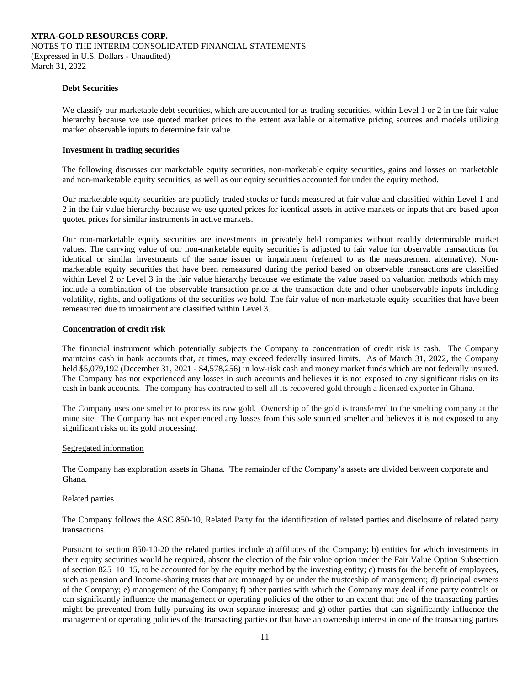#### **Debt Securities**

We classify our marketable debt securities, which are accounted for as trading securities, within Level 1 or 2 in the fair value hierarchy because we use quoted market prices to the extent available or alternative pricing sources and models utilizing market observable inputs to determine fair value.

#### **Investment in trading securities**

The following discusses our marketable equity securities, non-marketable equity securities, gains and losses on marketable and non-marketable equity securities, as well as our equity securities accounted for under the equity method.

Our marketable equity securities are publicly traded stocks or funds measured at fair value and classified within Level 1 and 2 in the fair value hierarchy because we use quoted prices for identical assets in active markets or inputs that are based upon quoted prices for similar instruments in active markets.

Our non-marketable equity securities are investments in privately held companies without readily determinable market values. The carrying value of our non-marketable equity securities is adjusted to fair value for observable transactions for identical or similar investments of the same issuer or impairment (referred to as the measurement alternative). Nonmarketable equity securities that have been remeasured during the period based on observable transactions are classified within Level 2 or Level 3 in the fair value hierarchy because we estimate the value based on valuation methods which may include a combination of the observable transaction price at the transaction date and other unobservable inputs including volatility, rights, and obligations of the securities we hold. The fair value of non-marketable equity securities that have been remeasured due to impairment are classified within Level 3.

#### **Concentration of credit risk**

The financial instrument which potentially subjects the Company to concentration of credit risk is cash. The Company maintains cash in bank accounts that, at times, may exceed federally insured limits. As of March 31, 2022, the Company held \$5,079,192 (December 31, 2021 - \$4,578,256) in low-risk cash and money market funds which are not federally insured. The Company has not experienced any losses in such accounts and believes it is not exposed to any significant risks on its cash in bank accounts. The company has contracted to sell all its recovered gold through a licensed exporter in Ghana.

The Company uses one smelter to process its raw gold. Ownership of the gold is transferred to the smelting company at the mine site. The Company has not experienced any losses from this sole sourced smelter and believes it is not exposed to any significant risks on its gold processing.

#### Segregated information

The Company has exploration assets in Ghana. The remainder of the Company's assets are divided between corporate and Ghana.

#### Related parties

The Company follows the ASC 850-10, Related Party for the identification of related parties and disclosure of related party transactions.

Pursuant to section 850-10-20 the related parties include a) affiliates of the Company; b) entities for which investments in their equity securities would be required, absent the election of the fair value option under the Fair Value Option Subsection of section 825–10–15, to be accounted for by the equity method by the investing entity; c) trusts for the benefit of employees, such as pension and Income-sharing trusts that are managed by or under the trusteeship of management; d) principal owners of the Company; e) management of the Company; f) other parties with which the Company may deal if one party controls or can significantly influence the management or operating policies of the other to an extent that one of the transacting parties might be prevented from fully pursuing its own separate interests; and g) other parties that can significantly influence the management or operating policies of the transacting parties or that have an ownership interest in one of the transacting parties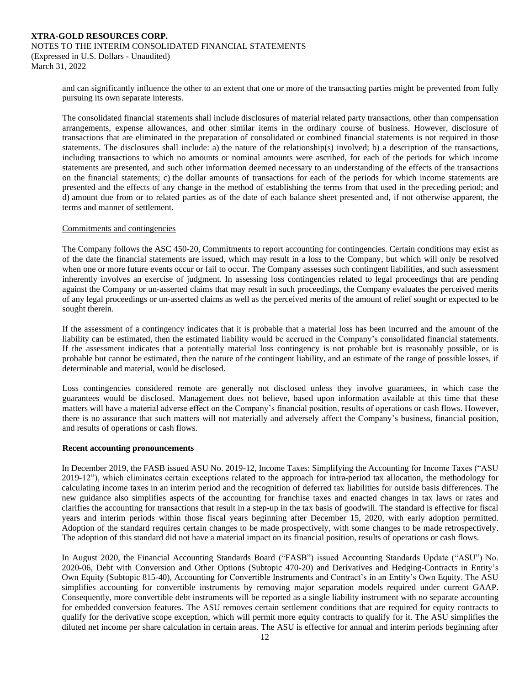and can significantly influence the other to an extent that one or more of the transacting parties might be prevented from fully pursuing its own separate interests.

The consolidated financial statements shall include disclosures of material related party transactions, other than compensation arrangements, expense allowances, and other similar items in the ordinary course of business. However, disclosure of transactions that are eliminated in the preparation of consolidated or combined financial statements is not required in those statements. The disclosures shall include: a) the nature of the relationship(s) involved; b) a description of the transactions, including transactions to which no amounts or nominal amounts were ascribed, for each of the periods for which income statements are presented, and such other information deemed necessary to an understanding of the effects of the transactions on the financial statements; c) the dollar amounts of transactions for each of the periods for which income statements are presented and the effects of any change in the method of establishing the terms from that used in the preceding period; and d) amount due from or to related parties as of the date of each balance sheet presented and, if not otherwise apparent, the terms and manner of settlement.

#### Commitments and contingencies

The Company follows the ASC 450-20, Commitments to report accounting for contingencies. Certain conditions may exist as of the date the financial statements are issued, which may result in a loss to the Company, but which will only be resolved when one or more future events occur or fail to occur. The Company assesses such contingent liabilities, and such assessment inherently involves an exercise of judgment. In assessing loss contingencies related to legal proceedings that are pending against the Company or un-asserted claims that may result in such proceedings, the Company evaluates the perceived merits of any legal proceedings or un-asserted claims as well as the perceived merits of the amount of relief sought or expected to be sought therein.

If the assessment of a contingency indicates that it is probable that a material loss has been incurred and the amount of the liability can be estimated, then the estimated liability would be accrued in the Company's consolidated financial statements. If the assessment indicates that a potentially material loss contingency is not probable but is reasonably possible, or is probable but cannot be estimated, then the nature of the contingent liability, and an estimate of the range of possible losses, if determinable and material, would be disclosed.

Loss contingencies considered remote are generally not disclosed unless they involve guarantees, in which case the guarantees would be disclosed. Management does not believe, based upon information available at this time that these matters will have a material adverse effect on the Company's financial position, results of operations or cash flows. However, there is no assurance that such matters will not materially and adversely affect the Company's business, financial position, and results of operations or cash flows.

#### **Recent accounting pronouncements**

In December 2019, the FASB issued ASU No. 2019-12, Income Taxes: Simplifying the Accounting for Income Taxes ("ASU 2019-12"), which eliminates certain exceptions related to the approach for intra-period tax allocation, the methodology for calculating income taxes in an interim period and the recognition of deferred tax liabilities for outside basis differences. The new guidance also simplifies aspects of the accounting for franchise taxes and enacted changes in tax laws or rates and clarifies the accounting for transactions that result in a step-up in the tax basis of goodwill. The standard is effective for fiscal years and interim periods within those fiscal years beginning after December 15, 2020, with early adoption permitted. Adoption of the standard requires certain changes to be made prospectively, with some changes to be made retrospectively. The adoption of this standard did not have a material impact on its financial position, results of operations or cash flows.

In August 2020, the Financial Accounting Standards Board ("FASB") issued Accounting Standards Update ("ASU") No. 2020-06, Debt with Conversion and Other Options (Subtopic 470-20) and Derivatives and Hedging-Contracts in Entity's Own Equity (Subtopic 815-40), Accounting for Convertible Instruments and Contract's in an Entity's Own Equity. The ASU simplifies accounting for convertible instruments by removing major separation models required under current GAAP. Consequently, more convertible debt instruments will be reported as a single liability instrument with no separate accounting for embedded conversion features. The ASU removes certain settlement conditions that are required for equity contracts to qualify for the derivative scope exception, which will permit more equity contracts to qualify for it. The ASU simplifies the diluted net income per share calculation in certain areas. The ASU is effective for annual and interim periods beginning after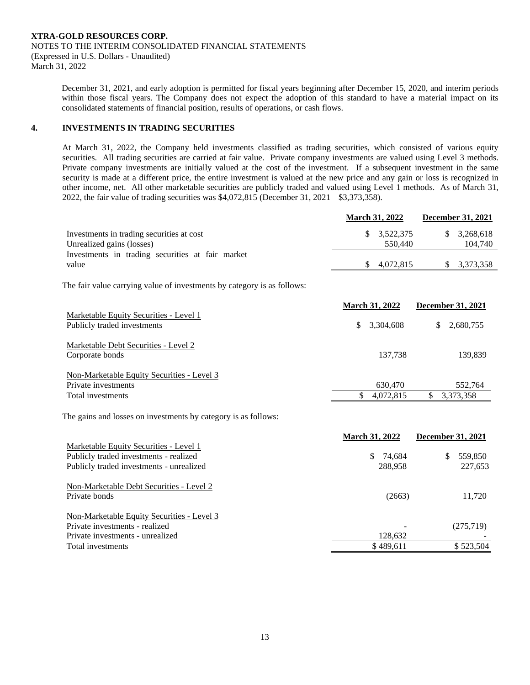December 31, 2021, and early adoption is permitted for fiscal years beginning after December 15, 2020, and interim periods within those fiscal years. The Company does not expect the adoption of this standard to have a material impact on its consolidated statements of financial position, results of operations, or cash flows.

## **4. INVESTMENTS IN TRADING SECURITIES**

At March 31, 2022, the Company held investments classified as trading securities, which consisted of various equity securities. All trading securities are carried at fair value. Private company investments are valued using Level 3 methods. Private company investments are initially valued at the cost of the investment. If a subsequent investment in the same security is made at a different price, the entire investment is valued at the new price and any gain or loss is recognized in other income, net. All other marketable securities are publicly traded and valued using Level 1 methods. As of March 31, 2022, the fair value of trading securities was \$4,072,815 (December 31, 2021 – \$3,373,358).

|                                                                        |    | <b>March 31, 2022</b>             |    | <b>December 31, 2021</b> |
|------------------------------------------------------------------------|----|-----------------------------------|----|--------------------------|
| Investments in trading securities at cost<br>Unrealized gains (losses) |    | $\frac{\$}{3.522.375}$<br>550.440 | S. | 3,268,618<br>104.740     |
| Investments in trading securities at fair market<br>value              | S. | 4.072.815                         |    | \$3,373,358              |

The fair value carrying value of investments by category is as follows:

|                                                                       |    | <b>March 31, 2022</b> |     | <b>December 31, 2021</b> |
|-----------------------------------------------------------------------|----|-----------------------|-----|--------------------------|
| Marketable Equity Securities - Level 1<br>Publicly traded investments | S. | 3,304,608             | \$. | 2,680,755                |
| Marketable Debt Securities - Level 2<br>Corporate bonds               |    | 137.738               |     | 139.839                  |
| Non-Marketable Equity Securities - Level 3<br>Private investments     |    | 630,470               |     | 552.764                  |
| Total investments                                                     |    | 4,072,815             |     | 3,373,358                |

The gains and losses on investments by category is as follows:

|                                                   | <b>March 31, 2022</b> | <b>December 31, 2021</b> |
|---------------------------------------------------|-----------------------|--------------------------|
| Marketable Equity Securities - Level 1            |                       |                          |
| Publicly traded investments - realized            | \$ 74,684             | 559,850                  |
| Publicly traded investments - unrealized          | 288.958               | 227,653                  |
| Non-Marketable Debt Securities - Level 2          |                       |                          |
| Private bonds                                     | (2663)                | 11.720                   |
| <b>Non-Marketable Equity Securities - Level 3</b> |                       |                          |
| Private investments - realized                    |                       | (275,719)                |
| Private investments - unrealized                  | 128,632               |                          |
| Total investments                                 | \$489,611             | \$523,504                |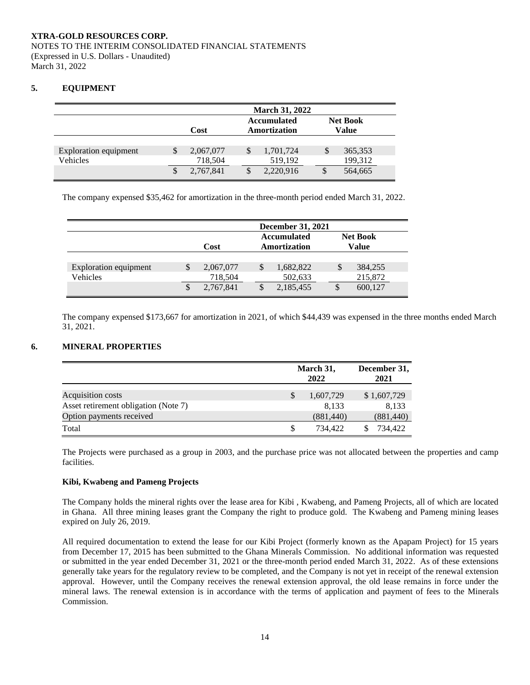## **5. EQUIPMENT**

|                       | <b>March 31, 2022</b> |  |  |                                    |  |          |                                 |  |
|-----------------------|-----------------------|--|--|------------------------------------|--|----------|---------------------------------|--|
|                       | Cost                  |  |  | <b>Accumulated</b><br>Amortization |  |          | <b>Net Book</b><br><b>Value</b> |  |
|                       |                       |  |  |                                    |  |          |                                 |  |
| Exploration equipment | 2,067,077             |  |  | 1,701,724                          |  |          | 365,353                         |  |
| Vehicles              | 718,504               |  |  | 519,192                            |  |          | 199,312                         |  |
|                       | 2,767,841             |  |  | 2,220,916                          |  | <b>S</b> | 564,665                         |  |

The company expensed \$35,462 for amortization in the three-month period ended March 31, 2022.

|                       | <b>December 31, 2021</b><br><b>Accumulated</b><br><b>Net Book</b> |           |    |              |   |         |  |  |
|-----------------------|-------------------------------------------------------------------|-----------|----|--------------|---|---------|--|--|
|                       |                                                                   | Cost      |    | Amortization |   | Value   |  |  |
|                       |                                                                   |           |    |              |   |         |  |  |
| Exploration equipment | S                                                                 | 2,067,077 | \$ | 1,682,822    | S | 384,255 |  |  |
| Vehicles              |                                                                   | 718,504   |    | 502,633      |   | 215,872 |  |  |
|                       | S                                                                 | 2,767,841 |    | 2,185,455    |   | 600,127 |  |  |

The company expensed \$173,667 for amortization in 2021, of which \$44,439 was expensed in the three months ended March 31, 2021.

## **6. MINERAL PROPERTIES**

|                                      | March 31,<br>2022 | December 31,<br>2021 |
|--------------------------------------|-------------------|----------------------|
| Acquisition costs                    | 1,607,729         | \$1,607,729          |
| Asset retirement obligation (Note 7) | 8.133             | 8.133                |
| Option payments received             | (881, 440)        | (881, 440)           |
| Total                                | 734.422           | 734,422              |

The Projects were purchased as a group in 2003, and the purchase price was not allocated between the properties and camp facilities.

## **Kibi, Kwabeng and Pameng Projects**

The Company holds the mineral rights over the lease area for Kibi , Kwabeng, and Pameng Projects, all of which are located in Ghana. All three mining leases grant the Company the right to produce gold. The Kwabeng and Pameng mining leases expired on July 26, 2019.

All required documentation to extend the lease for our Kibi Project (formerly known as the Apapam Project) for 15 years from December 17, 2015 has been submitted to the Ghana Minerals Commission. No additional information was requested or submitted in the year ended December 31, 2021 or the three-month period ended March 31, 2022. As of these extensions generally take years for the regulatory review to be completed, and the Company is not yet in receipt of the renewal extension approval. However, until the Company receives the renewal extension approval, the old lease remains in force under the mineral laws. The renewal extension is in accordance with the terms of application and payment of fees to the Minerals Commission.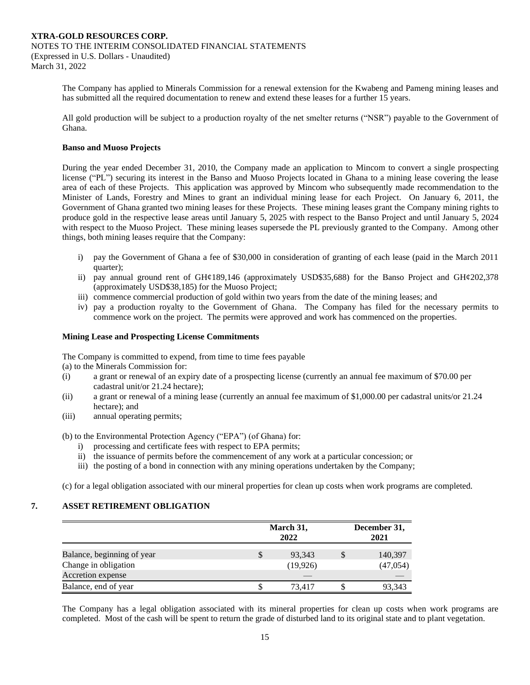The Company has applied to Minerals Commission for a renewal extension for the Kwabeng and Pameng mining leases and has submitted all the required documentation to renew and extend these leases for a further 15 years.

All gold production will be subject to a production royalty of the net smelter returns ("NSR") payable to the Government of Ghana.

### **Banso and Muoso Projects**

During the year ended December 31, 2010, the Company made an application to Mincom to convert a single prospecting license ("PL") securing its interest in the Banso and Muoso Projects located in Ghana to a mining lease covering the lease area of each of these Projects. This application was approved by Mincom who subsequently made recommendation to the Minister of Lands, Forestry and Mines to grant an individual mining lease for each Project. On January 6, 2011, the Government of Ghana granted two mining leases for these Projects. These mining leases grant the Company mining rights to produce gold in the respective lease areas until January 5, 2025 with respect to the Banso Project and until January 5, 2024 with respect to the Muoso Project. These mining leases supersede the PL previously granted to the Company. Among other things, both mining leases require that the Company:

- i) pay the Government of Ghana a fee of \$30,000 in consideration of granting of each lease (paid in the March 2011 quarter);
- ii) pay annual ground rent of GH¢189,146 (approximately USD\$35,688) for the Banso Project and GH¢202,378 (approximately USD\$38,185) for the Muoso Project;
- iii) commence commercial production of gold within two years from the date of the mining leases; and
- iv) pay a production royalty to the Government of Ghana. The Company has filed for the necessary permits to commence work on the project. The permits were approved and work has commenced on the properties.

#### **Mining Lease and Prospecting License Commitments**

The Company is committed to expend, from time to time fees payable

(a) to the Minerals Commission for:

- (i) a grant or renewal of an expiry date of a prospecting license (currently an annual fee maximum of \$70.00 per cadastral unit/or 21.24 hectare);
- (ii) a grant or renewal of a mining lease (currently an annual fee maximum of \$1,000.00 per cadastral units/or 21.24 hectare); and
- (iii) annual operating permits;

(b) to the Environmental Protection Agency ("EPA") (of Ghana) for:

- i) processing and certificate fees with respect to EPA permits;
- ii) the issuance of permits before the commencement of any work at a particular concession; or
- iii) the posting of a bond in connection with any mining operations undertaken by the Company;

(c) for a legal obligation associated with our mineral properties for clean up costs when work programs are completed.

## **7. ASSET RETIREMENT OBLIGATION**

|                            | March 31,<br>2022 | December 31,<br>2021 |  |  |
|----------------------------|-------------------|----------------------|--|--|
| Balance, beginning of year | \$<br>93,343      | 140,397              |  |  |
| Change in obligation       | (19,926)          | (47,054)             |  |  |
| Accretion expense          |                   |                      |  |  |
| Balance, end of year       | 73.417            | 93,343               |  |  |

The Company has a legal obligation associated with its mineral properties for clean up costs when work programs are completed. Most of the cash will be spent to return the grade of disturbed land to its original state and to plant vegetation.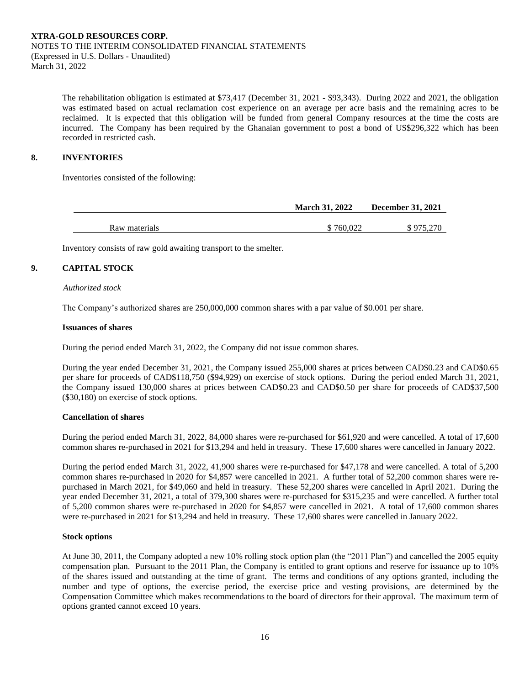The rehabilitation obligation is estimated at \$73,417 (December 31, 2021 - \$93,343). During 2022 and 2021, the obligation was estimated based on actual reclamation cost experience on an average per acre basis and the remaining acres to be reclaimed. It is expected that this obligation will be funded from general Company resources at the time the costs are incurred. The Company has been required by the Ghanaian government to post a bond of US\$296,322 which has been recorded in restricted cash.

## **8. INVENTORIES**

Inventories consisted of the following:

|               | <b>March 31, 2022</b> | <b>December 31, 2021</b> |
|---------------|-----------------------|--------------------------|
|               |                       |                          |
| Raw materials | \$760,022             | \$975,270                |

Inventory consists of raw gold awaiting transport to the smelter.

## **9. CAPITAL STOCK**

#### *Authorized stock*

The Company's authorized shares are 250,000,000 common shares with a par value of \$0.001 per share.

#### **Issuances of shares**

During the period ended March 31, 2022, the Company did not issue common shares.

During the year ended December 31, 2021, the Company issued 255,000 shares at prices between CAD\$0.23 and CAD\$0.65 per share for proceeds of CAD\$118,750 (\$94,929) on exercise of stock options. During the period ended March 31, 2021, the Company issued 130,000 shares at prices between CAD\$0.23 and CAD\$0.50 per share for proceeds of CAD\$37,500 (\$30,180) on exercise of stock options.

#### **Cancellation of shares**

During the period ended March 31, 2022, 84,000 shares were re-purchased for \$61,920 and were cancelled. A total of 17,600 common shares re-purchased in 2021 for \$13,294 and held in treasury. These 17,600 shares were cancelled in January 2022.

During the period ended March 31, 2022, 41,900 shares were re-purchased for \$47,178 and were cancelled. A total of 5,200 common shares re-purchased in 2020 for \$4,857 were cancelled in 2021. A further total of 52,200 common shares were repurchased in March 2021, for \$49,060 and held in treasury. These 52,200 shares were cancelled in April 2021. During the year ended December 31, 2021, a total of 379,300 shares were re-purchased for \$315,235 and were cancelled. A further total of 5,200 common shares were re-purchased in 2020 for \$4,857 were cancelled in 2021. A total of 17,600 common shares were re-purchased in 2021 for \$13,294 and held in treasury. These 17,600 shares were cancelled in January 2022.

#### **Stock options**

At June 30, 2011, the Company adopted a new 10% rolling stock option plan (the "2011 Plan") and cancelled the 2005 equity compensation plan. Pursuant to the 2011 Plan, the Company is entitled to grant options and reserve for issuance up to 10% of the shares issued and outstanding at the time of grant. The terms and conditions of any options granted, including the number and type of options, the exercise period, the exercise price and vesting provisions, are determined by the Compensation Committee which makes recommendations to the board of directors for their approval. The maximum term of options granted cannot exceed 10 years.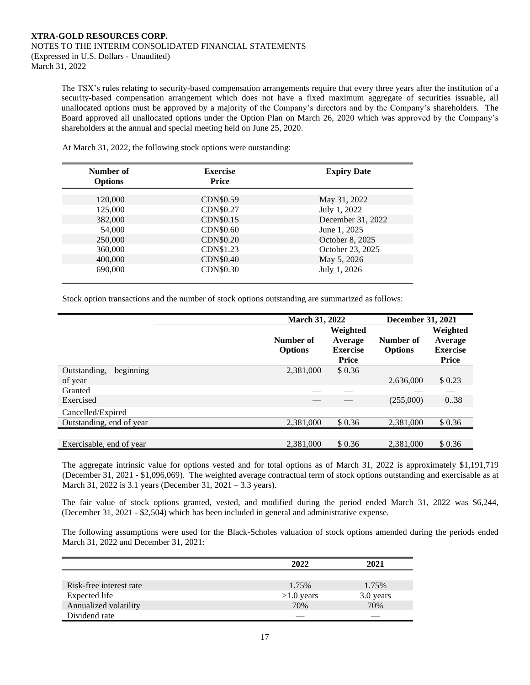The TSX's rules relating to security-based compensation arrangements require that every three years after the institution of a security-based compensation arrangement which does not have a fixed maximum aggregate of securities issuable, all unallocated options must be approved by a majority of the Company's directors and by the Company's shareholders. The Board approved all unallocated options under the Option Plan on March 26, 2020 which was approved by the Company's shareholders at the annual and special meeting held on June 25, 2020.

| Number of<br><b>Options</b> | <b>Exercise</b><br>Price | <b>Expiry Date</b> |
|-----------------------------|--------------------------|--------------------|
| 120,000                     | CDN\$0.59                | May 31, 2022       |
| 125,000                     | <b>CDN\$0.27</b>         | July 1, 2022       |
| 382,000                     | CDN\$0.15                | December 31, 2022  |
| 54,000                      | <b>CDN\$0.60</b>         | June 1, 2025       |
| 250,000                     | <b>CDN\$0.20</b>         | October 8, 2025    |
| 360,000                     | CDN\$1.23                | October 23, 2025   |
| 400,000                     | CDN\$0.40                | May 5, 2026        |
| 690,000                     | CDN\$0.30                | July 1, 2026       |

At March 31, 2022, the following stock options were outstanding:

Stock option transactions and the number of stock options outstanding are summarized as follows:

|                           |                             | <b>March 31, 2022</b>                                  |                             |                                                 |
|---------------------------|-----------------------------|--------------------------------------------------------|-----------------------------|-------------------------------------------------|
|                           | Number of<br><b>Options</b> | Weighted<br>Average<br><b>Exercise</b><br><b>Price</b> | Number of<br><b>Options</b> | Weighted<br>Average<br><b>Exercise</b><br>Price |
| beginning<br>Outstanding, | 2,381,000                   | \$0.36                                                 |                             |                                                 |
| of year                   |                             |                                                        | 2,636,000                   | \$0.23                                          |
| Granted                   |                             |                                                        |                             |                                                 |
| Exercised                 |                             |                                                        | (255,000)                   | 0.38                                            |
| Cancelled/Expired         |                             |                                                        |                             |                                                 |
| Outstanding, end of year  | 2,381,000                   | \$0.36                                                 | 2,381,000                   | \$0.36                                          |
|                           |                             |                                                        |                             |                                                 |
| Exercisable, end of year  | 2.381,000                   | \$0.36                                                 | 2.381,000                   | \$0.36                                          |

The aggregate intrinsic value for options vested and for total options as of March 31, 2022 is approximately \$1,191,719 (December 31, 2021 - \$1,096,069). The weighted average contractual term of stock options outstanding and exercisable as at March 31, 2022 is 3.1 years (December 31, 2021 – 3.3 years).

The fair value of stock options granted, vested, and modified during the period ended March 31, 2022 was \$6,244, (December 31, 2021 - \$2,504) which has been included in general and administrative expense.

The following assumptions were used for the Black-Scholes valuation of stock options amended during the periods ended March 31, 2022 and December 31, 2021:

|                         | 2022         | 2021      |
|-------------------------|--------------|-----------|
|                         |              |           |
| Risk-free interest rate | 1.75%        | 1.75%     |
| Expected life           | $>1.0$ years | 3.0 years |
| Annualized volatility   | 70%          | 70%       |
| Dividend rate           |              |           |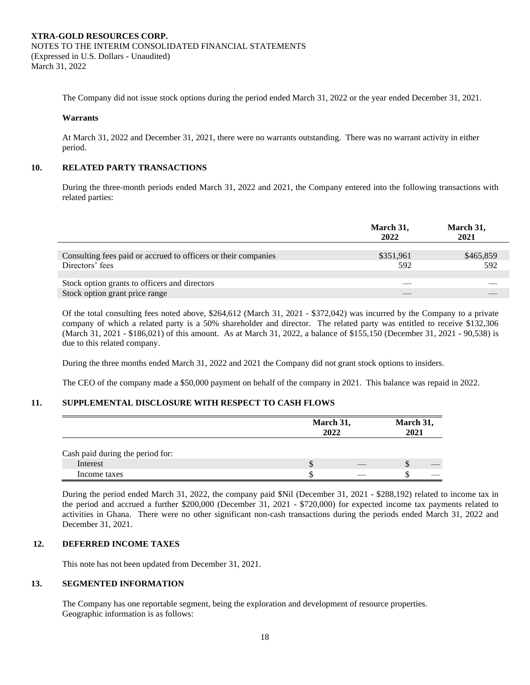The Company did not issue stock options during the period ended March 31, 2022 or the year ended December 31, 2021.

#### **Warrants**

At March 31, 2022 and December 31, 2021, there were no warrants outstanding. There was no warrant activity in either period.

#### **10. RELATED PARTY TRANSACTIONS**

During the three-month periods ended March 31, 2022 and 2021, the Company entered into the following transactions with related parties:

|                                                                | March 31,<br>2022 | March 31,<br>2021 |
|----------------------------------------------------------------|-------------------|-------------------|
|                                                                |                   |                   |
| Consulting fees paid or accrued to officers or their companies | \$351,961         | \$465,859         |
| Directors' fees                                                | 592               | 592               |
|                                                                |                   |                   |
| Stock option grants to officers and directors                  |                   |                   |
| Stock option grant price range                                 | __                |                   |
|                                                                |                   |                   |

Of the total consulting fees noted above, \$264,612 (March 31, 2021 - \$372,042) was incurred by the Company to a private company of which a related party is a 50% shareholder and director. The related party was entitled to receive \$132,306 (March 31, 2021 - \$186,021) of this amount. As at March 31, 2022, a balance of \$155,150 (December 31, 2021 - 90,538) is due to this related company.

During the three months ended March 31, 2022 and 2021 the Company did not grant stock options to insiders.

The CEO of the company made a \$50,000 payment on behalf of the company in 2021. This balance was repaid in 2022.

#### **11. SUPPLEMENTAL DISCLOSURE WITH RESPECT TO CASH FLOWS**

|                                  |   | March 31,<br>2022 |   |  |
|----------------------------------|---|-------------------|---|--|
| Cash paid during the period for: |   |                   |   |  |
| Interest                         | J |                   | Ф |  |
| Income taxes                     |   |                   |   |  |

During the period ended March 31, 2022, the company paid \$Nil (December 31, 2021 - \$288,192) related to income tax in the period and accrued a further \$200,000 (December 31, 2021 - \$720,000) for expected income tax payments related to activities in Ghana. There were no other significant non-cash transactions during the periods ended March 31, 2022 and December 31, 2021.

#### **12. DEFERRED INCOME TAXES**

This note has not been updated from December 31, 2021.

### **13. SEGMENTED INFORMATION**

The Company has one reportable segment, being the exploration and development of resource properties. Geographic information is as follows: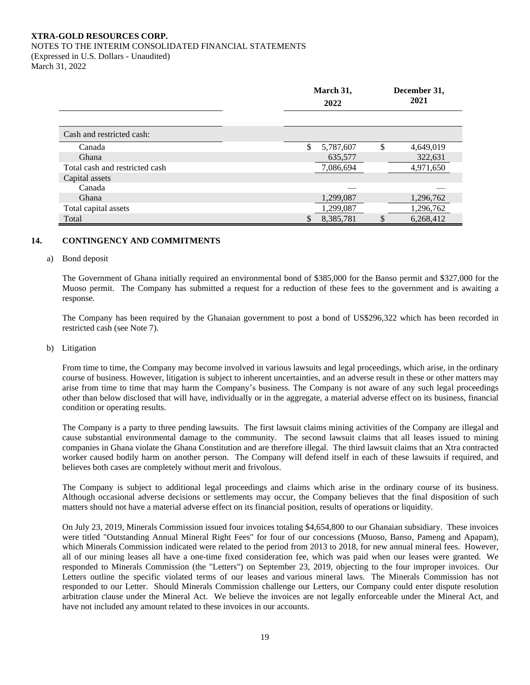#### NOTES TO THE INTERIM CONSOLIDATED FINANCIAL STATEMENTS

(Expressed in U.S. Dollars - Unaudited) March 31, 2022

|                                | March 31,<br>2022 |    | December 31,<br>2021 |
|--------------------------------|-------------------|----|----------------------|
|                                |                   |    |                      |
| Cash and restricted cash:      |                   |    |                      |
| Canada                         | \$<br>5,787,607   | \$ | 4,649,019            |
| Ghana                          | 635,577           |    | 322,631              |
| Total cash and restricted cash | 7,086,694         |    | 4,971,650            |
| Capital assets                 |                   |    |                      |
| Canada                         |                   |    |                      |
| Ghana                          | 1,299,087         |    | 1,296,762            |
| Total capital assets           | 1,299,087         |    | 1,296,762            |
| Total                          | \$<br>8,385,781   | \$ | 6,268,412            |

## **14. CONTINGENCY AND COMMITMENTS**

#### a) Bond deposit

The Government of Ghana initially required an environmental bond of \$385,000 for the Banso permit and \$327,000 for the Muoso permit. The Company has submitted a request for a reduction of these fees to the government and is awaiting a response.

The Company has been required by the Ghanaian government to post a bond of US\$296,322 which has been recorded in restricted cash (see Note 7).

#### b) Litigation

From time to time, the Company may become involved in various lawsuits and legal proceedings, which arise, in the ordinary course of business. However, litigation is subject to inherent uncertainties, and an adverse result in these or other matters may arise from time to time that may harm the Company's business. The Company is not aware of any such legal proceedings other than below disclosed that will have, individually or in the aggregate, a material adverse effect on its business, financial condition or operating results.

The Company is a party to three pending lawsuits. The first lawsuit claims mining activities of the Company are illegal and cause substantial environmental damage to the community. The second lawsuit claims that all leases issued to mining companies in Ghana violate the Ghana Constitution and are therefore illegal. The third lawsuit claims that an Xtra contracted worker caused bodily harm on another person. The Company will defend itself in each of these lawsuits if required, and believes both cases are completely without merit and frivolous.

The Company is subject to additional legal proceedings and claims which arise in the ordinary course of its business. Although occasional adverse decisions or settlements may occur, the Company believes that the final disposition of such matters should not have a material adverse effect on its financial position, results of operations or liquidity.

On July 23, 2019, Minerals Commission issued four invoices totaling \$4,654,800 to our Ghanaian subsidiary. These invoices were titled "Outstanding Annual Mineral Right Fees" for four of our concessions (Muoso, Banso, Pameng and Apapam), which Minerals Commission indicated were related to the period from 2013 to 2018, for new annual mineral fees. However, all of our mining leases all have a one-time fixed consideration fee, which was paid when our leases were granted. We responded to Minerals Commission (the "Letters") on September 23, 2019, objecting to the four improper invoices. Our Letters outline the specific violated terms of our leases and various mineral laws. The Minerals Commission has not responded to our Letter. Should Minerals Commission challenge our Letters, our Company could enter dispute resolution arbitration clause under the Mineral Act. We believe the invoices are not legally enforceable under the Mineral Act, and have not included any amount related to these invoices in our accounts.